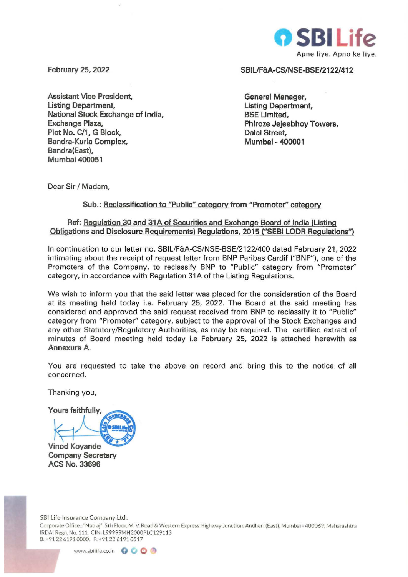

**February 25, 2022** 

**Assistant Vice President, Listing Department, National Stock Exchange of India, Exchange Plaza, Plot No. C/1 , G Block, Bandra-Kurla Complex, Bandra(East), Mumbai 400051** 

**SBIL/F&A-CS/NSE-BSE/2122/412** 

**General Manager, Listing Department, BSE Limited, Phiroze Jejeebhoy Towers, Dalal Street, Mumbai - 400001** 

Dear Sir / Madam,

## Sub.: Reclassification to "Public" category from "Promoter" category

## **Ref: Regulation 30 and 31A of Securities and Exchange Board of India (Listing Obligations and Disclosure Requirements) Regulations, 2015 ("SEBI LODR Regulations")**

In continuation to our letter no. SBIL/F&A-CS/NSE-BSE/2122/400 dated February 21, 2022 intimating about the receipt of request letter from BNP Paribas Cardif ("BNP"), one of the Promoters of the Company, to reclassify BNP to "Public" category from "Promoter" category, in accordance with Regulation 31A of the Listing Regulations.

We wish to inform you that the said letter was placed for the consideration of the Board at its meeting held today i.e. February 25, 2022. The Board at the said meeting has considered and approved the said request received from BNP to reclassify it to "Public" category from "Promoter" category, subject to the approval of the Stock Exchanges and any other Statutory/Regulatory Authorities, as may be required. The certified extract of minutes of Board meeting held today i.e February 25, 2022 is attached herewith as **Annexure A.** 

You are requested to take the above on record and bring this to the notice of all concerned.

Thanking you,

Yours faithfully,

**Vined Koyande** 

**Company Secretary ACS No. 33696** 

SBI Life Insurance Company Ltd.:

Corporate Office.: "Natraj", 5th Floor. M. V. Road & Western Express Highway Junction, Andheri (East), Mumbai - 400069. Maharashtra IRDAi Regn. No. 111. CIN: L99999MH2000PLC129113 8:+912261910000. F:+912261910517

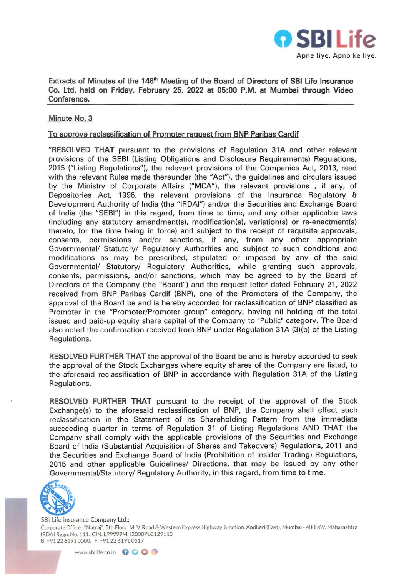

Extracts of Minutes of the 146<sup>th</sup> Meeting of the Board of Directors of SBI Life Insurance Co. Ltd. held on Friday, February 25, 2022 at 05:00 P.M. at Mumbai through Video Conference.

## Minute No. 3

## To approve reclassification of Promoter request from BNP Paribas Cardif

"RESOLVED THAT pursuant to the provisions of Regulation 31A and other relevant provisions of the SEBI (Listing Obligations and Disclosure Requirements) Regulations, 2015 ("Listing Regulations"), the relevant provisions of the Companies Act, 2013, read with the relevant Rules made thereunder (the "Act"), the guidelines and circulars issued by the Ministry of Corporate Affairs ("MCA"), the relevant provisions , if any, of Depositories Act, 1996, the relevant provisions of the Insurance Regulatory & Development Authority of India (the "IRDAI") and/or the Securities and Exchange Board of India (the "SEBI") in this regard, from time to time, and any other applicable laws (including any statutory amendment(s), modification(s), variation(s) or re-enactment(s) thereto, for the time being in force) and subject to the receipt of requisite approvals, consents, permissions and/or sanctions, if any, from any other appropriate Governmental/ Statutory/ Regulatory Authorities and subject to such conditions and modifications as may be prescribed, stipulated or imposed by any of the said Governmental/ Statutory/ Regulatory Authorities, while granting such approvals, consents, permissions, and/or sanctions, which may be agreed to by the Board of Directors of the Company (the "Board") and the request letter dated February 21, 2022 received from BNP Paribas Cardif (BNP), one of the Promoters of the Company, the approval of the Board be and is hereby accorded for reclassification of BNP classified as Promoter in the "Promoter/Promoter group" category, having nil holding of the total issued and paid-up equity share capital of the Company to "Public" category. The Board also noted the confirmation received from BNP under Regulation 31A (3)(b) of the Listing Regulations.

RESOLVED FURTHER THAT the approval of the Board be and is hereby accorded to seek the approval of the Stock Exchanges where equity shares of the Company are listed, to the aforesaid reclassification of BNP in accordance with Regulation 31A of the Listing Regulations.

RESOLVED FURTHER THAT pursuant to the receipt of the approval of the Stock Exchange(s) to the aforesaid reclassification of BNP, the Company shall effect such reclassification in the Statement of its Shareholding Pattern from the immediate succeeding quarter in terms of Regulation 31 of Listing Regulations AND THAT the Company shall comply with the applicable provisions of the Securities and Exchange Board of India (Substantial Acquisition of Shares and Takeovers) Regulations, 2011 and the Securities and Exchange Board of India (Prohibition of Insider Trading) Regulations, 2015 and other applicable Guidelines/ Directions, that may be issued by any other Governmental/Statutory/ Regulatory Authority, in this regard, from time to time.



581 Life Insurance Company Ltd.: Corporate Office.: "Natraj". 5th Floor. M. V. Road&. Western Express Highway Jur.ction. Andheri (East). Mumbai - 400069. Maharashtra IRDAi Regn. No. 111. CIN: L99999MH2000PLC129113 8:+912261910000. F:+912261910517